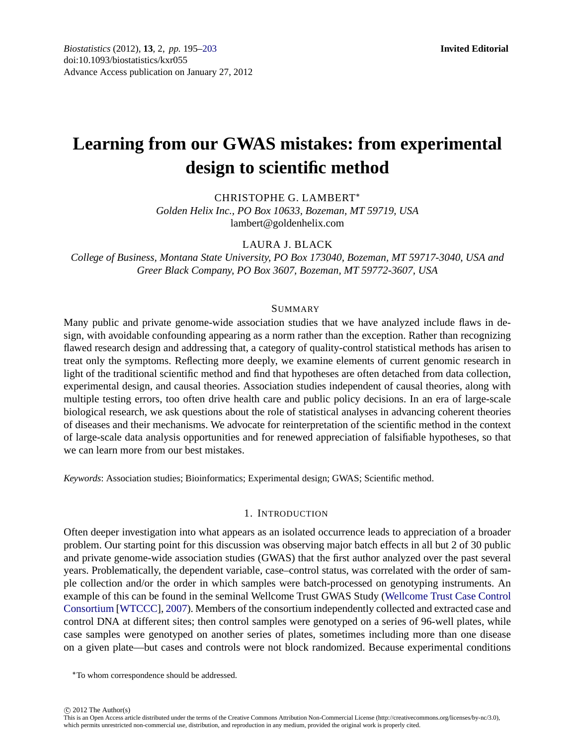# **Learning from our GWAS mistakes: from experimental design to scientific method**

CHRISTOPHE G. LAMBERT∗

*Golden Helix Inc., PO Box 10633, Bozeman, MT 59719, USA* lambert@goldenhelix.com

LAURA J. BLACK

*College of Business, Montana State University, PO Box 173040, Bozeman, MT 59717-3040, USA and Greer Black Company, PO Box 3607, Bozeman, MT 59772-3607, USA*

## SUMMARY

Many public and private genome-wide association studies that we have analyzed include flaws in design, with avoidable confounding appearing as a norm rather than the exception. Rather than recognizing flawed research design and addressing that, a category of quality-control statistical methods has arisen to treat only the symptoms. Reflecting more deeply, we examine elements of current genomic research in light of the traditional scientific method and find that hypotheses are often detached from data collection, experimental design, and causal theories. Association studies independent of causal theories, along with multiple testing errors, too often drive health care and public policy decisions. In an era of large-scale biological research, we ask questions about the role of statistical analyses in advancing coherent theories of diseases and their mechanisms. We advocate for reinterpretation of the scientific method in the context of large-scale data analysis opportunities and for renewed appreciation of falsifiable hypotheses, so that we can learn more from our best mistakes.

*Keywords*: Association studies; Bioinformatics; Experimental design; GWAS; Scientific method.

# 1. INTRODUCTION

Often deeper investigation into what appears as an isolated occurrence leads to appreciation of a broader problem. Our starting point for this discussion was observing major batch effects in all but 2 of 30 public and private genome-wide association studies (GWAS) that the first author analyzed over the past several years. Problematically, the dependent variable, case–control status, was correlated with the order of sample collection and/or the order in which samples were batch-processed on genotyping instruments. An example of this can be found in the seminal Wellcome Trust GWAS Study [\(Wellcome Trust Case Control](#page-8-0) [Consortium](#page-8-0) [[WTCCC](#page-8-0)], [2007](#page-8-0)). Members of the consortium independently collected and extracted case and control DNA at different sites; then control samples were genotyped on a series of 96-well plates, while case samples were genotyped on another series of plates, sometimes including more than one disease on a given plate—but cases and controls were not block randomized. Because experimental conditions

<sup>∗</sup>To whom correspondence should be addressed.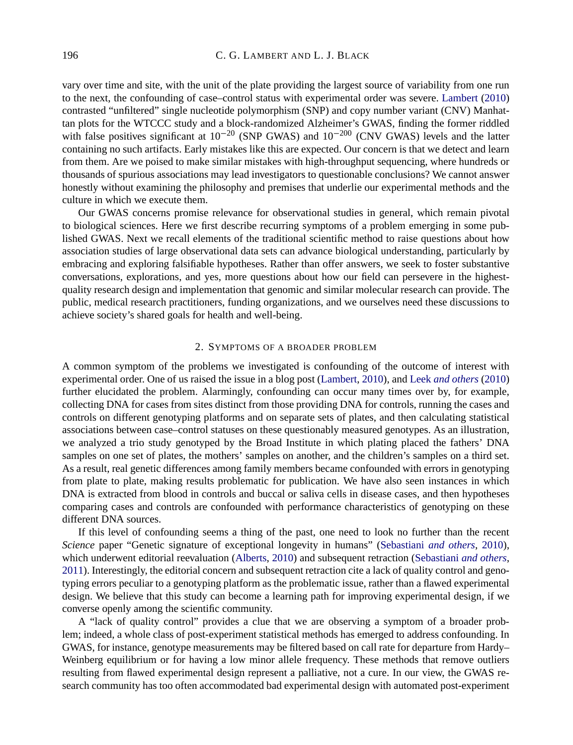vary over time and site, with the unit of the plate providing the largest source of variability from one run to the next, the confounding of case–control status with experimental order was severe. [Lambert](#page-7-0) [\(2010](#page-7-0)) contrasted "unfiltered" single nucleotide polymorphism (SNP) and copy number variant (CNV) Manhattan plots for the WTCCC study and a block-randomized Alzheimer's GWAS, finding the former riddled with false positives significant at 10<sup>-20</sup> (SNP GWAS) and 10<sup>-200</sup> (CNV GWAS) levels and the latter containing no such artifacts. Early mistakes like this are expected. Our concern is that we detect and learn from them. Are we poised to make similar mistakes with high-throughput sequencing, where hundreds or thousands of spurious associations may lead investigators to questionable conclusions? We cannot answer honestly without examining the philosophy and premises that underlie our experimental methods and the culture in which we execute them.

Our GWAS concerns promise relevance for observational studies in general, which remain pivotal to biological sciences. Here we first describe recurring symptoms of a problem emerging in some published GWAS. Next we recall elements of the traditional scientific method to raise questions about how association studies of large observational data sets can advance biological understanding, particularly by embracing and exploring falsifiable hypotheses. Rather than offer answers, we seek to foster substantive conversations, explorations, and yes, more questions about how our field can persevere in the highestquality research design and implementation that genomic and similar molecular research can provide. The public, medical research practitioners, funding organizations, and we ourselves need these discussions to achieve society's shared goals for health and well-being.

## 2. SYMPTOMS OF A BROADER PROBLEM

A common symptom of the problems we investigated is confounding of the outcome of interest with experimental order. One of us raised the issue in a blog post [\(Lambert,](#page-7-0) [2010\)](#page-7-0), and Leek *[and others](#page-7-0)* [\(2010](#page-7-0)) further elucidated the problem. Alarmingly, confounding can occur many times over by, for example, collecting DNA for cases from sites distinct from those providing DNA for controls, running the cases and controls on different genotyping platforms and on separate sets of plates, and then calculating statistical associations between case–control statuses on these questionably measured genotypes. As an illustration, we analyzed a trio study genotyped by the Broad Institute in which plating placed the fathers' DNA samples on one set of plates, the mothers' samples on another, and the children's samples on a third set. As a result, real genetic differences among family members became confounded with errors in genotyping from plate to plate, making results problematic for publication. We have also seen instances in which DNA is extracted from blood in controls and buccal or saliva cells in disease cases, and then hypotheses comparing cases and controls are confounded with performance characteristics of genotyping on these different DNA sources.

If this level of confounding seems a thing of the past, one need to look no further than the recent *Science* paper "Genetic signature of exceptional longevity in humans" (Sebastiani *[and others](#page-7-0)*, [2010\)](#page-7-0), which underwent editorial reevaluation [\(Alberts](#page-7-0), [2010](#page-7-0)) and subsequent retraction (Sebastiani *[and others](#page-7-0)*, [2011](#page-7-0)). Interestingly, the editorial concern and subsequent retraction cite a lack of quality control and genotyping errors peculiar to a genotyping platform as the problematic issue, rather than a flawed experimental design. We believe that this study can become a learning path for improving experimental design, if we converse openly among the scientific community.

A "lack of quality control" provides a clue that we are observing a symptom of a broader problem; indeed, a whole class of post-experiment statistical methods has emerged to address confounding. In GWAS, for instance, genotype measurements may be filtered based on call rate for departure from Hardy– Weinberg equilibrium or for having a low minor allele frequency. These methods that remove outliers resulting from flawed experimental design represent a palliative, not a cure. In our view, the GWAS research community has too often accommodated bad experimental design with automated post-experiment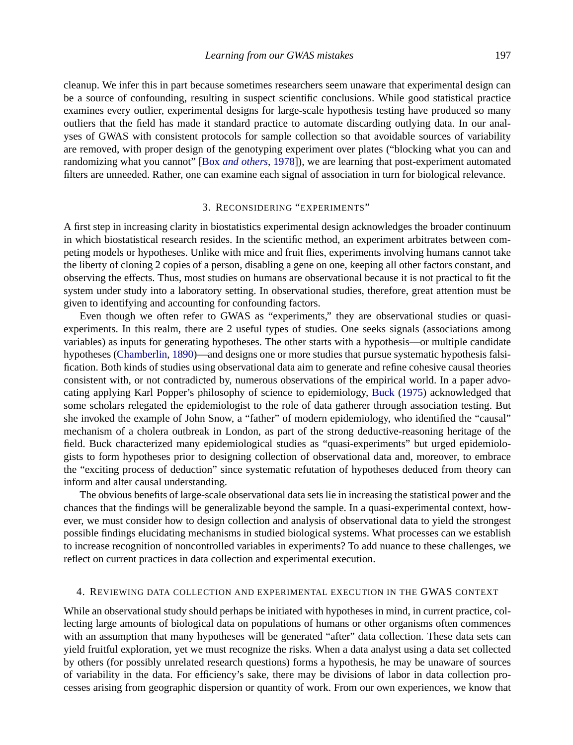cleanup. We infer this in part because sometimes researchers seem unaware that experimental design can be a source of confounding, resulting in suspect scientific conclusions. While good statistical practice examines every outlier, experimental designs for large-scale hypothesis testing have produced so many outliers that the field has made it standard practice to automate discarding outlying data. In our analyses of GWAS with consistent protocols for sample collection so that avoidable sources of variability are removed, with proper design of the genotyping experiment over plates ("blocking what you can and randomizing what you cannot" [Box *[and others](#page-7-0)*, [1978\]](#page-7-0)), we are learning that post-experiment automated filters are unneeded. Rather, one can examine each signal of association in turn for biological relevance.

# 3. RECONSIDERING "EXPERIMENTS"

A first step in increasing clarity in biostatistics experimental design acknowledges the broader continuum in which biostatistical research resides. In the scientific method, an experiment arbitrates between competing models or hypotheses. Unlike with mice and fruit flies, experiments involving humans cannot take the liberty of cloning 2 copies of a person, disabling a gene on one, keeping all other factors constant, and observing the effects. Thus, most studies on humans are observational because it is not practical to fit the system under study into a laboratory setting. In observational studies, therefore, great attention must be given to identifying and accounting for confounding factors.

Even though we often refer to GWAS as "experiments," they are observational studies or quasiexperiments. In this realm, there are 2 useful types of studies. One seeks signals (associations among variables) as inputs for generating hypotheses. The other starts with a hypothesis—or multiple candidate hypotheses [\(Chamberlin](#page-7-0), [1890](#page-7-0))—and designs one or more studies that pursue systematic hypothesis falsification. Both kinds of studies using observational data aim to generate and refine cohesive causal theories consistent with, or not contradicted by, numerous observations of the empirical world. In a paper advocating applying Karl Popper's philosophy of science to epidemiology, [Buck](#page-7-0) ([1975\)](#page-7-0) acknowledged that some scholars relegated the epidemiologist to the role of data gatherer through association testing. But she invoked the example of John Snow, a "father" of modern epidemiology, who identified the "causal" mechanism of a cholera outbreak in London, as part of the strong deductive-reasoning heritage of the field. Buck characterized many epidemiological studies as "quasi-experiments" but urged epidemiologists to form hypotheses prior to designing collection of observational data and, moreover, to embrace the "exciting process of deduction" since systematic refutation of hypotheses deduced from theory can inform and alter causal understanding.

The obvious benefits of large-scale observational data sets lie in increasing the statistical power and the chances that the findings will be generalizable beyond the sample. In a quasi-experimental context, however, we must consider how to design collection and analysis of observational data to yield the strongest possible findings elucidating mechanisms in studied biological systems. What processes can we establish to increase recognition of noncontrolled variables in experiments? To add nuance to these challenges, we reflect on current practices in data collection and experimental execution.

# 4. REVIEWING DATA COLLECTION AND EXPERIMENTAL EXECUTION IN THE GWAS CONTEXT

While an observational study should perhaps be initiated with hypotheses in mind, in current practice, collecting large amounts of biological data on populations of humans or other organisms often commences with an assumption that many hypotheses will be generated "after" data collection. These data sets can yield fruitful exploration, yet we must recognize the risks. When a data analyst using a data set collected by others (for possibly unrelated research questions) forms a hypothesis, he may be unaware of sources of variability in the data. For efficiency's sake, there may be divisions of labor in data collection processes arising from geographic dispersion or quantity of work. From our own experiences, we know that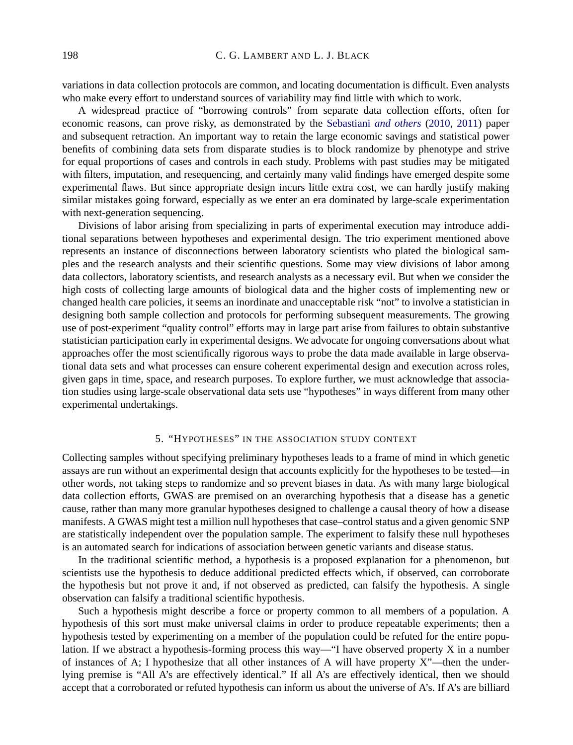variations in data collection protocols are common, and locating documentation is difficult. Even analysts who make every effort to understand sources of variability may find little with which to work.

A widespread practice of "borrowing controls" from separate data collection efforts, often for economic reasons, can prove risky, as demonstrated by the Sebastiani *[and others](#page-7-0)* [\(2010](#page-7-0), [2011](#page-7-0)) paper and subsequent retraction. An important way to retain the large economic savings and statistical power benefits of combining data sets from disparate studies is to block randomize by phenotype and strive for equal proportions of cases and controls in each study. Problems with past studies may be mitigated with filters, imputation, and resequencing, and certainly many valid findings have emerged despite some experimental flaws. But since appropriate design incurs little extra cost, we can hardly justify making similar mistakes going forward, especially as we enter an era dominated by large-scale experimentation with next-generation sequencing.

Divisions of labor arising from specializing in parts of experimental execution may introduce additional separations between hypotheses and experimental design. The trio experiment mentioned above represents an instance of disconnections between laboratory scientists who plated the biological samples and the research analysts and their scientific questions. Some may view divisions of labor among data collectors, laboratory scientists, and research analysts as a necessary evil. But when we consider the high costs of collecting large amounts of biological data and the higher costs of implementing new or changed health care policies, it seems an inordinate and unacceptable risk "not" to involve a statistician in designing both sample collection and protocols for performing subsequent measurements. The growing use of post-experiment "quality control" efforts may in large part arise from failures to obtain substantive statistician participation early in experimental designs. We advocate for ongoing conversations about what approaches offer the most scientifically rigorous ways to probe the data made available in large observational data sets and what processes can ensure coherent experimental design and execution across roles, given gaps in time, space, and research purposes. To explore further, we must acknowledge that association studies using large-scale observational data sets use "hypotheses" in ways different from many other experimental undertakings.

# 5. "HYPOTHESES" IN THE ASSOCIATION STUDY CONTEXT

Collecting samples without specifying preliminary hypotheses leads to a frame of mind in which genetic assays are run without an experimental design that accounts explicitly for the hypotheses to be tested—in other words, not taking steps to randomize and so prevent biases in data. As with many large biological data collection efforts, GWAS are premised on an overarching hypothesis that a disease has a genetic cause, rather than many more granular hypotheses designed to challenge a causal theory of how a disease manifests. A GWAS might test a million null hypotheses that case–control status and a given genomic SNP are statistically independent over the population sample. The experiment to falsify these null hypotheses is an automated search for indications of association between genetic variants and disease status.

In the traditional scientific method, a hypothesis is a proposed explanation for a phenomenon, but scientists use the hypothesis to deduce additional predicted effects which, if observed, can corroborate the hypothesis but not prove it and, if not observed as predicted, can falsify the hypothesis. A single observation can falsify a traditional scientific hypothesis.

Such a hypothesis might describe a force or property common to all members of a population. A hypothesis of this sort must make universal claims in order to produce repeatable experiments; then a hypothesis tested by experimenting on a member of the population could be refuted for the entire population. If we abstract a hypothesis-forming process this way—"I have observed property X in a number of instances of A; I hypothesize that all other instances of A will have property X"—then the underlying premise is "All A's are effectively identical." If all A's are effectively identical, then we should accept that a corroborated or refuted hypothesis can inform us about the universe of A's. If A's are billiard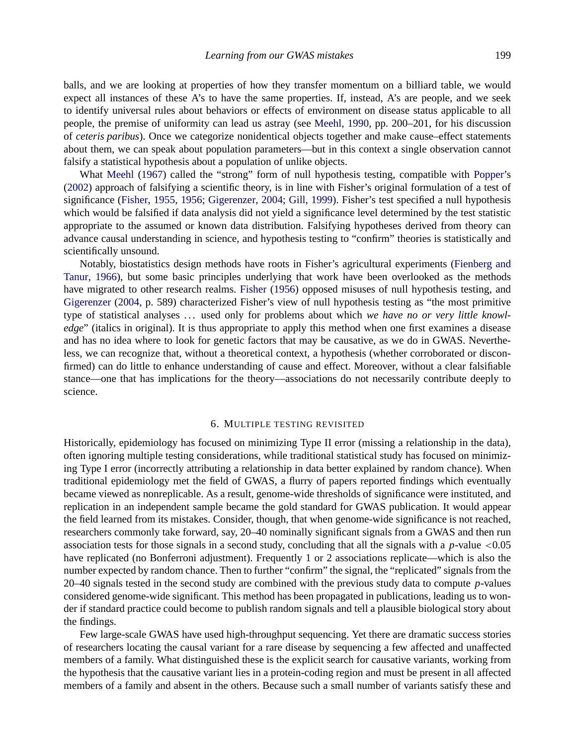balls, and we are looking at properties of how they transfer momentum on a billiard table, we would expect all instances of these A's to have the same properties. If, instead, A's are people, and we seek to identify universal rules about behaviors or effects of environment on disease status applicable to all people, the premise of uniformity can lead us astray (see [Meehl,](#page-7-0) [1990](#page-7-0), pp. 200–201, for his discussion of *ceteris paribus*). Once we categorize nonidentical objects together and make cause–effect statements about them, we can speak about population parameters—but in this context a single observation cannot falsify a statistical hypothesis about a population of unlike objects.

What [Meehl](#page-7-0) [\(1967](#page-7-0)) called the "strong" form of null hypothesis testing, compatible with [Popper](#page-7-0)'s ([2002\)](#page-7-0) approach of falsifying a scientific theory, is in line with Fisher's original formulation of a test of significance [\(Fisher](#page-7-0), [1955,](#page-7-0) [1956](#page-7-0); [Gigerenzer](#page-7-0), [2004;](#page-7-0) [Gill,](#page-7-0) [1999](#page-7-0)). Fisher's test specified a null hypothesis which would be falsified if data analysis did not yield a significance level determined by the test statistic appropriate to the assumed or known data distribution. Falsifying hypotheses derived from theory can advance causal understanding in science, and hypothesis testing to "confirm" theories is statistically and scientifically unsound.

Notably, biostatistics design methods have roots in Fisher's agricultural experiments [\(Fienberg and](#page-7-0) [Tanur,](#page-7-0) [1966](#page-7-0)), but some basic principles underlying that work have been overlooked as the methods have migrated to other research realms. [Fisher](#page-7-0) [\(1956](#page-7-0)) opposed misuses of null hypothesis testing, and [Gigerenzer](#page-7-0) [\(2004](#page-7-0), p. 589) characterized Fisher's view of null hypothesis testing as "the most primitive type of statistical analyses . . . used only for problems about which *we have no or very little knowledge*" (italics in original). It is thus appropriate to apply this method when one first examines a disease and has no idea where to look for genetic factors that may be causative, as we do in GWAS. Nevertheless, we can recognize that, without a theoretical context, a hypothesis (whether corroborated or disconfirmed) can do little to enhance understanding of cause and effect. Moreover, without a clear falsifiable stance—one that has implications for the theory—associations do not necessarily contribute deeply to science.

### 6. MULTIPLE TESTING REVISITED

Historically, epidemiology has focused on minimizing Type II error (missing a relationship in the data), often ignoring multiple testing considerations, while traditional statistical study has focused on minimizing Type I error (incorrectly attributing a relationship in data better explained by random chance). When traditional epidemiology met the field of GWAS, a flurry of papers reported findings which eventually became viewed as nonreplicable. As a result, genome-wide thresholds of significance were instituted, and replication in an independent sample became the gold standard for GWAS publication. It would appear the field learned from its mistakes. Consider, though, that when genome-wide significance is not reached, researchers commonly take forward, say, 20–40 nominally significant signals from a GWAS and then run association tests for those signals in a second study, concluding that all the signals with a *p*-value <0.05 have replicated (no Bonferroni adjustment). Frequently 1 or 2 associations replicate—which is also the number expected by random chance. Then to further "confirm" the signal, the "replicated" signals from the 20–40 signals tested in the second study are combined with the previous study data to compute *p*-values considered genome-wide significant. This method has been propagated in publications, leading us to wonder if standard practice could become to publish random signals and tell a plausible biological story about the findings.

Few large-scale GWAS have used high-throughput sequencing. Yet there are dramatic success stories of researchers locating the causal variant for a rare disease by sequencing a few affected and unaffected members of a family. What distinguished these is the explicit search for causative variants, working from the hypothesis that the causative variant lies in a protein-coding region and must be present in all affected members of a family and absent in the others. Because such a small number of variants satisfy these and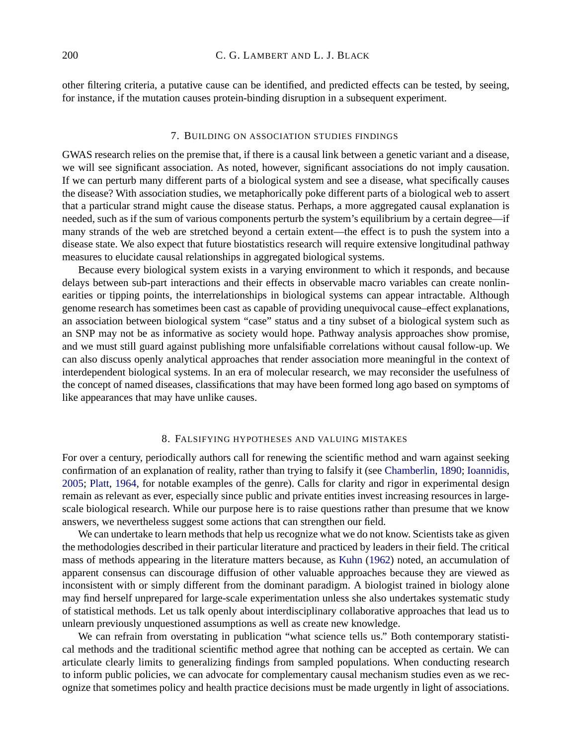other filtering criteria, a putative cause can be identified, and predicted effects can be tested, by seeing, for instance, if the mutation causes protein-binding disruption in a subsequent experiment.

### 7. BUILDING ON ASSOCIATION STUDIES FINDINGS

GWAS research relies on the premise that, if there is a causal link between a genetic variant and a disease, we will see significant association. As noted, however, significant associations do not imply causation. If we can perturb many different parts of a biological system and see a disease, what specifically causes the disease? With association studies, we metaphorically poke different parts of a biological web to assert that a particular strand might cause the disease status. Perhaps, a more aggregated causal explanation is needed, such as if the sum of various components perturb the system's equilibrium by a certain degree—if many strands of the web are stretched beyond a certain extent—the effect is to push the system into a disease state. We also expect that future biostatistics research will require extensive longitudinal pathway measures to elucidate causal relationships in aggregated biological systems.

Because every biological system exists in a varying environment to which it responds, and because delays between sub-part interactions and their effects in observable macro variables can create nonlinearities or tipping points, the interrelationships in biological systems can appear intractable. Although genome research has sometimes been cast as capable of providing unequivocal cause–effect explanations, an association between biological system "case" status and a tiny subset of a biological system such as an SNP may not be as informative as society would hope. Pathway analysis approaches show promise, and we must still guard against publishing more unfalsifiable correlations without causal follow-up. We can also discuss openly analytical approaches that render association more meaningful in the context of interdependent biological systems. In an era of molecular research, we may reconsider the usefulness of the concept of named diseases, classifications that may have been formed long ago based on symptoms of like appearances that may have unlike causes.

## 8. FALSIFYING HYPOTHESES AND VALUING MISTAKES

For over a century, periodically authors call for renewing the scientific method and warn against seeking confirmation of an explanation of reality, rather than trying to falsify it (see [Chamberlin,](#page-7-0) [1890;](#page-7-0) [Ioannidis](#page-7-0), [2005](#page-7-0); [Platt](#page-7-0), [1964,](#page-7-0) for notable examples of the genre). Calls for clarity and rigor in experimental design remain as relevant as ever, especially since public and private entities invest increasing resources in largescale biological research. While our purpose here is to raise questions rather than presume that we know answers, we nevertheless suggest some actions that can strengthen our field.

We can undertake to learn methods that help us recognize what we do not know. Scientists take as given the methodologies described in their particular literature and practiced by leaders in their field. The critical mass of methods appearing in the literature matters because, as [Kuhn](#page-7-0) [\(1962](#page-7-0)) noted, an accumulation of apparent consensus can discourage diffusion of other valuable approaches because they are viewed as inconsistent with or simply different from the dominant paradigm. A biologist trained in biology alone may find herself unprepared for large-scale experimentation unless she also undertakes systematic study of statistical methods. Let us talk openly about interdisciplinary collaborative approaches that lead us to unlearn previously unquestioned assumptions as well as create new knowledge.

We can refrain from overstating in publication "what science tells us." Both contemporary statistical methods and the traditional scientific method agree that nothing can be accepted as certain. We can articulate clearly limits to generalizing findings from sampled populations. When conducting research to inform public policies, we can advocate for complementary causal mechanism studies even as we recognize that sometimes policy and health practice decisions must be made urgently in light of associations.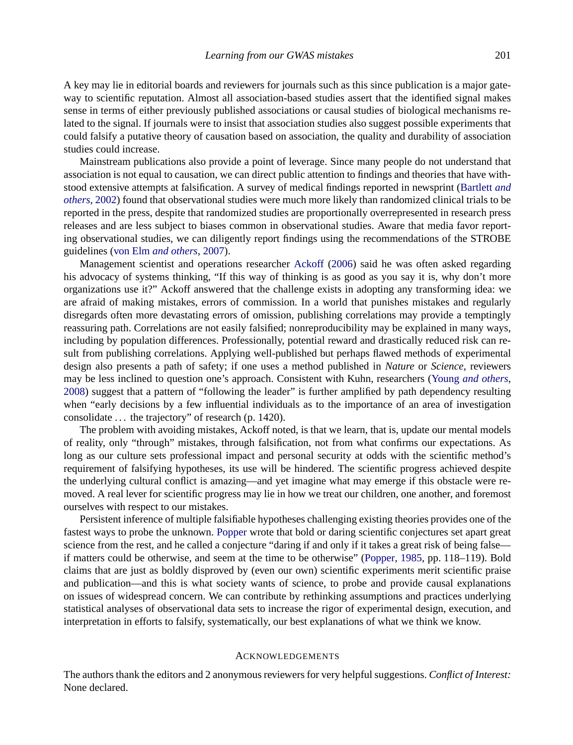A key may lie in editorial boards and reviewers for journals such as this since publication is a major gateway to scientific reputation. Almost all association-based studies assert that the identified signal makes sense in terms of either previously published associations or causal studies of biological mechanisms related to the signal. If journals were to insist that association studies also suggest possible experiments that could falsify a putative theory of causation based on association, the quality and durability of association studies could increase.

Mainstream publications also provide a point of leverage. Since many people do not understand that association is not equal to causation, we can direct public attention to findings and theories that have withstood extensive attempts at falsification. A survey of medical findings reported in newsprint ([Bartlett](#page-7-0) *and [others](#page-7-0)*, [2002](#page-7-0)) found that observational studies were much more likely than randomized clinical trials to be reported in the press, despite that randomized studies are proportionally overrepresented in research press releases and are less subject to biases common in observational studies. Aware that media favor reporting observational studies, we can diligently report findings using the recommendations of the STROBE guidelines (von Elm *[and others](#page-7-0)*, [2007\)](#page-7-0).

Management scientist and operations researcher [Ackoff](#page-7-0) [\(2006](#page-7-0)) said he was often asked regarding his advocacy of systems thinking, "If this way of thinking is as good as you say it is, why don't more organizations use it?" Ackoff answered that the challenge exists in adopting any transforming idea: we are afraid of making mistakes, errors of commission. In a world that punishes mistakes and regularly disregards often more devastating errors of omission, publishing correlations may provide a temptingly reassuring path. Correlations are not easily falsified; nonreproducibility may be explained in many ways, including by population differences. Professionally, potential reward and drastically reduced risk can result from publishing correlations. Applying well-published but perhaps flawed methods of experimental design also presents a path of safety; if one uses a method published in *Nature* or *Science*, reviewers may be less inclined to question one's approach. Consistent with Kuhn, researchers (Young *[and others](#page-8-0)*, [2008](#page-8-0)) suggest that a pattern of "following the leader" is further amplified by path dependency resulting when "early decisions by a few influential individuals as to the importance of an area of investigation consolidate . . . the trajectory" of research (p. 1420).

The problem with avoiding mistakes, Ackoff noted, is that we learn, that is, update our mental models of reality, only "through" mistakes, through falsification, not from what confirms our expectations. As long as our culture sets professional impact and personal security at odds with the scientific method's requirement of falsifying hypotheses, its use will be hindered. The scientific progress achieved despite the underlying cultural conflict is amazing—and yet imagine what may emerge if this obstacle were removed. A real lever for scientific progress may lie in how we treat our children, one another, and foremost ourselves with respect to our mistakes.

Persistent inference of multiple falsifiable hypotheses challenging existing theories provides one of the fastest ways to probe the unknown. [Popper](#page-7-0) wrote that bold or daring scientific conjectures set apart great science from the rest, and he called a conjecture "daring if and only if it takes a great risk of being false if matters could be otherwise, and seem at the time to be otherwise" [\(Popper](#page-7-0), [1985,](#page-7-0) pp. 118–119). Bold claims that are just as boldly disproved by (even our own) scientific experiments merit scientific praise and publication—and this is what society wants of science, to probe and provide causal explanations on issues of widespread concern. We can contribute by rethinking assumptions and practices underlying statistical analyses of observational data sets to increase the rigor of experimental design, execution, and interpretation in efforts to falsify, systematically, our best explanations of what we think we know.

## **ACKNOWLEDGEMENTS**

The authors thank the editors and 2 anonymous reviewers for very helpful suggestions. *Conflict of Interest:* None declared.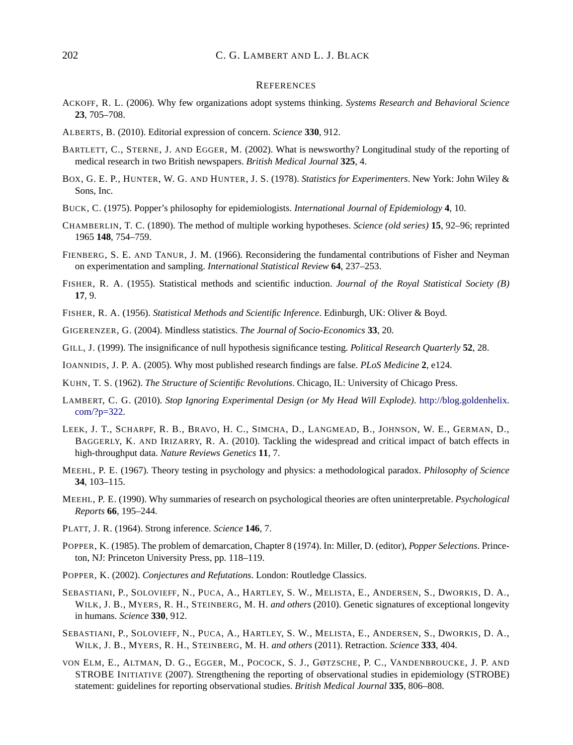## **REFERENCES**

- <span id="page-7-0"></span>ACKOFF, R. L. (2006). Why few organizations adopt systems thinking. *Systems Research and Behavioral Science* **23**, 705–708.
- ALBERTS, B. (2010). Editorial expression of concern. *Science* **330**, 912.
- BARTLETT, C., STERNE, J. AND EGGER, M. (2002). What is newsworthy? Longitudinal study of the reporting of medical research in two British newspapers. *British Medical Journal* **325**, 4.
- BOX, G. E. P., HUNTER, W. G. AND HUNTER, J. S. (1978). *Statistics for Experimenters*. New York: John Wiley & Sons, Inc.
- BUCK, C. (1975). Popper's philosophy for epidemiologists. *International Journal of Epidemiology* **4**, 10.
- CHAMBERLIN, T. C. (1890). The method of multiple working hypotheses. *Science (old series)* **15**, 92–96; reprinted 1965 **148**, 754–759.
- FIENBERG, S. E. AND TANUR, J. M. (1966). Reconsidering the fundamental contributions of Fisher and Neyman on experimentation and sampling. *International Statistical Review* **64**, 237–253.
- FISHER, R. A. (1955). Statistical methods and scientific induction. *Journal of the Royal Statistical Society (B)* **17**, 9.
- FISHER, R. A. (1956). *Statistical Methods and Scientific Inference*. Edinburgh, UK: Oliver & Boyd.
- GIGERENZER, G. (2004). Mindless statistics. *The Journal of Socio-Economics* **33**, 20.
- GILL, J. (1999). The insignificance of null hypothesis significance testing. *Political Research Quarterly* **52**, 28.
- IOANNIDIS, J. P. A. (2005). Why most published research findings are false. *PLoS Medicine* **2**, e124.
- KUHN, T. S. (1962). *The Structure of Scientific Revolutions*. Chicago, IL: University of Chicago Press.
- LAMBERT, C. G. (2010). *Stop Ignoring Experimental Design (or My Head Will Explode)*. [http://blog.goldenhelix.](http://blog.goldenhelix.com/?p=322) [com/?p=322](http://blog.goldenhelix.com/?p=322).
- LEEK, J. T., SCHARPF, R. B., BRAVO, H. C., SIMCHA, D., LANGMEAD, B., JOHNSON, W. E., GERMAN, D., BAGGERLY, K. AND IRIZARRY, R. A. (2010). Tackling the widespread and critical impact of batch effects in high-throughput data. *Nature Reviews Genetics* **11**, 7.
- MEEHL, P. E. (1967). Theory testing in psychology and physics: a methodological paradox. *Philosophy of Science* **34**, 103–115.
- MEEHL, P. E. (1990). Why summaries of research on psychological theories are often uninterpretable. *Psychological Reports* **66**, 195–244.
- PLATT, J. R. (1964). Strong inference. *Science* **146**, 7.
- POPPER, K. (1985). The problem of demarcation, Chapter 8 (1974). In: Miller, D. (editor), *Popper Selections*. Princeton, NJ: Princeton University Press, pp. 118–119.
- POPPER, K. (2002). *Conjectures and Refutations*. London: Routledge Classics.
- SEBASTIANI, P., SOLOVIEFF, N., PUCA, A., HARTLEY, S. W., MELISTA, E., ANDERSEN, S., DWORKIS, D. A., WILK, J. B., MYERS, R. H., STEINBERG, M. H. *and others* (2010). Genetic signatures of exceptional longevity in humans. *Science* **330**, 912.
- SEBASTIANI, P., SOLOVIEFF, N., PUCA, A., HARTLEY, S. W., MELISTA, E., ANDERSEN, S., DWORKIS, D. A., WILK, J. B., MYERS, R. H., STEINBERG, M. H. *and others* (2011). Retraction. *Science* **333**, 404.
- VON ELM, E., ALTMAN, D. G., EGGER, M., POCOCK, S. J., GØTZSCHE, P. C., VANDENBROUCKE, J. P. AND STROBE INITIATIVE (2007). Strengthening the reporting of observational studies in epidemiology (STROBE) statement: guidelines for reporting observational studies. *British Medical Journal* **335**, 806–808.